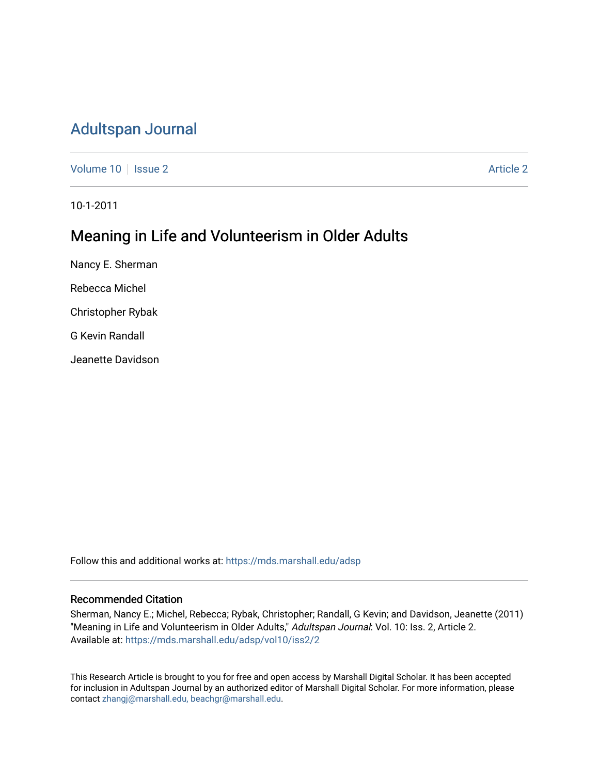# [Adultspan Journal](https://mds.marshall.edu/adsp)

[Volume 10](https://mds.marshall.edu/adsp/vol10) | [Issue 2](https://mds.marshall.edu/adsp/vol10/iss2) [Article 2](https://mds.marshall.edu/adsp/vol10/iss2/2) Article 2 Article 2 Article 2 Article 2 Article 2 Article 2 Article 2 Article 2

10-1-2011

# Meaning in Life and Volunteerism in Older Adults

Nancy E. Sherman Rebecca Michel Christopher Rybak G Kevin Randall Jeanette Davidson

Follow this and additional works at: [https://mds.marshall.edu/adsp](https://mds.marshall.edu/adsp?utm_source=mds.marshall.edu%2Fadsp%2Fvol10%2Fiss2%2F2&utm_medium=PDF&utm_campaign=PDFCoverPages) 

# Recommended Citation

Sherman, Nancy E.; Michel, Rebecca; Rybak, Christopher; Randall, G Kevin; and Davidson, Jeanette (2011) "Meaning in Life and Volunteerism in Older Adults," Adultspan Journal: Vol. 10: Iss. 2, Article 2. Available at: [https://mds.marshall.edu/adsp/vol10/iss2/2](https://mds.marshall.edu/adsp/vol10/iss2/2?utm_source=mds.marshall.edu%2Fadsp%2Fvol10%2Fiss2%2F2&utm_medium=PDF&utm_campaign=PDFCoverPages) 

This Research Article is brought to you for free and open access by Marshall Digital Scholar. It has been accepted for inclusion in Adultspan Journal by an authorized editor of Marshall Digital Scholar. For more information, please contact [zhangj@marshall.edu, beachgr@marshall.edu](mailto:zhangj@marshall.edu,%20beachgr@marshall.edu).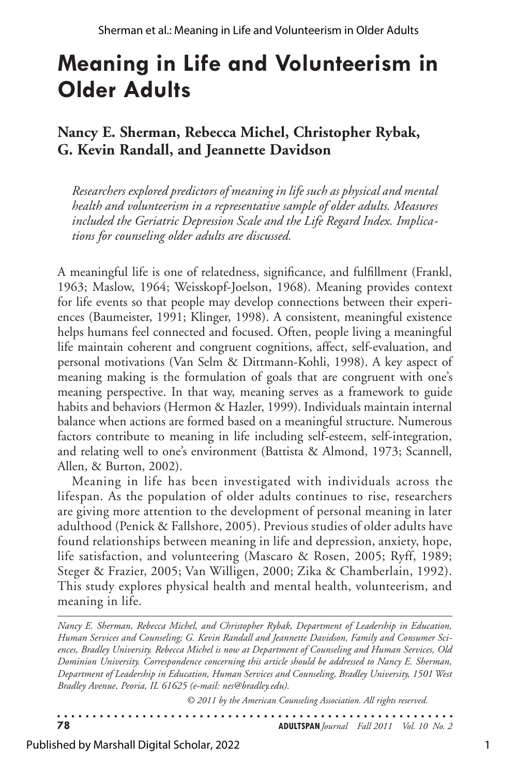# **Meaning in Life and Volunteerism in Older Adults**

# **Nancy E. Sherman, Rebecca Michel, Christopher Rybak, G. Kevin Randall, and Jeannette Davidson**

*Researchers explored predictors of meaning in life such as physical and mental health and volunteerism in a representative sample of older adults. Measures included the Geriatric Depression Scale and the Life Regard Index. Implications for counseling older adults are discussed.* 

A meaningful life is one of relatedness, significance, and fulfillment (Frankl, 1963; Maslow, 1964; Weisskopf-Joelson, 1968). Meaning provides context for life events so that people may develop connections between their experiences (Baumeister, 1991; Klinger, 1998). A consistent, meaningful existence helps humans feel connected and focused. Often, people living a meaningful life maintain coherent and congruent cognitions, affect, self-evaluation, and personal motivations (Van Selm & Dittmann-Kohli, 1998). A key aspect of meaning making is the formulation of goals that are congruent with one's meaning perspective. In that way, meaning serves as a framework to guide habits and behaviors (Hermon & Hazler, 1999). Individuals maintain internal balance when actions are formed based on a meaningful structure. Numerous factors contribute to meaning in life including self-esteem, self-integration, and relating well to one's environment (Battista & Almond, 1973; Scannell, Allen, & Burton, 2002).

Meaning in life has been investigated with individuals across the lifespan. As the population of older adults continues to rise, researchers are giving more attention to the development of personal meaning in later adulthood (Penick & Fallshore, 2005). Previous studies of older adults have found relationships between meaning in life and depression, anxiety, hope, life satisfaction, and volunteering (Mascaro & Rosen, 2005; Ryff, 1989; Steger & Frazier, 2005; Van Willigen, 2000; Zika & Chamberlain, 1992). This study explores physical health and mental health, volunteerism, and meaning in life.

*Nancy E. Sherman, Rebecca Michel, and Christopher Rybak, Department of Leadership in Education, Human Services and Counseling; G. Kevin Randall and Jeannette Davidson, Family and Consumer Sciences, Bradley University. Rebecca Michel is now at Department of Counseling and Human Services, Old Dominion University. Correspondence concerning this article should be addressed to Nancy E. Sherman, Department of Leadership in Education, Human Services and Counseling, Bradley University, 1501 West Bradley Avenue, Peoria, IL 61625 (e-mail: nes@bradley.edu).* 

*© 2011 by the American Counseling Association. All rights reserved.*

. . . . . . . . . . . . **78 ADULTSPAN***Journal Fall 2011 Vol. 10 No. 2*

### Published by Marshall Digital Scholar, 2022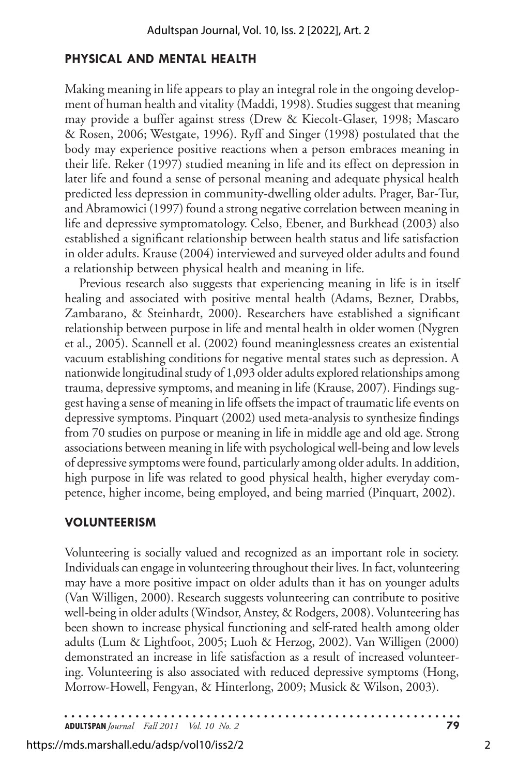## **Physical and Mental Health**

Making meaning in life appears to play an integral role in the ongoing development of human health and vitality (Maddi, 1998). Studies suggest that meaning may provide a buffer against stress (Drew & Kiecolt-Glaser, 1998; Mascaro & Rosen, 2006; Westgate, 1996). Ryff and Singer (1998) postulated that the body may experience positive reactions when a person embraces meaning in their life. Reker (1997) studied meaning in life and its effect on depression in later life and found a sense of personal meaning and adequate physical health predicted less depression in community-dwelling older adults. Prager, Bar-Tur, and Abramowici (1997) found a strong negative correlation between meaning in life and depressive symptomatology. Celso, Ebener, and Burkhead (2003) also established a significant relationship between health status and life satisfaction in older adults. Krause (2004) interviewed and surveyed older adults and found a relationship between physical health and meaning in life.

Previous research also suggests that experiencing meaning in life is in itself healing and associated with positive mental health (Adams, Bezner, Drabbs, Zambarano, & Steinhardt, 2000). Researchers have established a significant relationship between purpose in life and mental health in older women (Nygren et al., 2005). Scannell et al. (2002) found meaninglessness creates an existential vacuum establishing conditions for negative mental states such as depression. A nationwide longitudinal study of 1,093 older adults explored relationships among trauma, depressive symptoms, and meaning in life (Krause, 2007). Findings suggest having a sense of meaning in life offsets the impact of traumatic life events on depressive symptoms. Pinquart (2002) used meta-analysis to synthesize findings from 70 studies on purpose or meaning in life in middle age and old age. Strong associations between meaning in life with psychological well-being and low levels of depressive symptoms were found, particularly among older adults. In addition, high purpose in life was related to good physical health, higher everyday competence, higher income, being employed, and being married (Pinquart, 2002).

# **Volunteerism**

Volunteering is socially valued and recognized as an important role in society. Individuals can engage in volunteering throughout their lives. In fact, volunteering may have a more positive impact on older adults than it has on younger adults (Van Willigen, 2000). Research suggests volunteering can contribute to positive well-being in older adults (Windsor, Anstey, & Rodgers, 2008). Volunteering has been shown to increase physical functioning and self-rated health among older adults (Lum & Lightfoot, 2005; Luoh & Herzog, 2002). Van Willigen (2000) demonstrated an increase in life satisfaction as a result of increased volunteering. Volunteering is also associated with reduced depressive symptoms (Hong, Morrow-Howell, Fengyan, & Hinterlong, 2009; Musick & Wilson, 2003).

**ADULTSPAN***Journal Fall 2011 Vol. 10 No. 2* **79**

https://mds.marshall.edu/adsp/vol10/iss2/2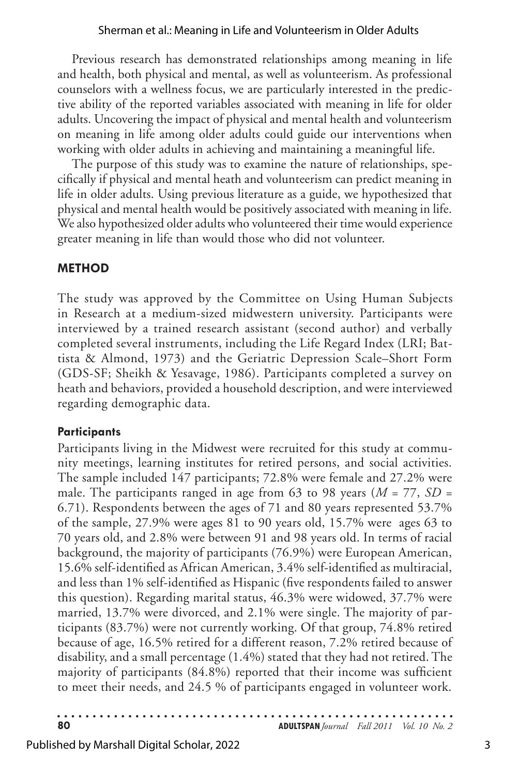#### Sherman et al.: Meaning in Life and Volunteerism in Older Adults

Previous research has demonstrated relationships among meaning in life and health, both physical and mental, as well as volunteerism. As professional counselors with a wellness focus, we are particularly interested in the predictive ability of the reported variables associated with meaning in life for older adults. Uncovering the impact of physical and mental health and volunteerism on meaning in life among older adults could guide our interventions when working with older adults in achieving and maintaining a meaningful life.

The purpose of this study was to examine the nature of relationships, specifically if physical and mental heath and volunteerism can predict meaning in life in older adults. Using previous literature as a guide, we hypothesized that physical and mental health would be positively associated with meaning in life. We also hypothesized older adults who volunteered their time would experience greater meaning in life than would those who did not volunteer.

## **Method**

The study was approved by the Committee on Using Human Subjects in Research at a medium-sized midwestern university. Participants were interviewed by a trained research assistant (second author) and verbally completed several instruments, including the Life Regard Index (LRI; Battista & Almond, 1973) and the Geriatric Depression Scale–Short Form (GDS-SF; Sheikh & Yesavage, 1986). Participants completed a survey on heath and behaviors, provided a household description, and were interviewed regarding demographic data.

### **Participants**

Participants living in the Midwest were recruited for this study at community meetings, learning institutes for retired persons, and social activities. The sample included 147 participants; 72.8% were female and 27.2% were male. The participants ranged in age from 63 to 98 years (*M* = 77, *SD* = 6.71). Respondents between the ages of 71 and 80 years represented 53.7% of the sample, 27.9% were ages 81 to 90 years old, 15.7% were ages 63 to 70 years old, and 2.8% were between 91 and 98 years old. In terms of racial background, the majority of participants (76.9%) were European American, 15.6% self-identified as African American, 3.4% self-identified as multiracial, and less than 1% self-identified as Hispanic (five respondents failed to answer this question). Regarding marital status, 46.3% were widowed, 37.7% were married, 13.7% were divorced, and 2.1% were single. The majority of participants (83.7%) were not currently working. Of that group, 74.8% retired because of age, 16.5% retired for a different reason, 7.2% retired because of disability, and a small percentage (1.4%) stated that they had not retired. The majority of participants (84.8%) reported that their income was sufficient to meet their needs, and 24.5 % of participants engaged in volunteer work.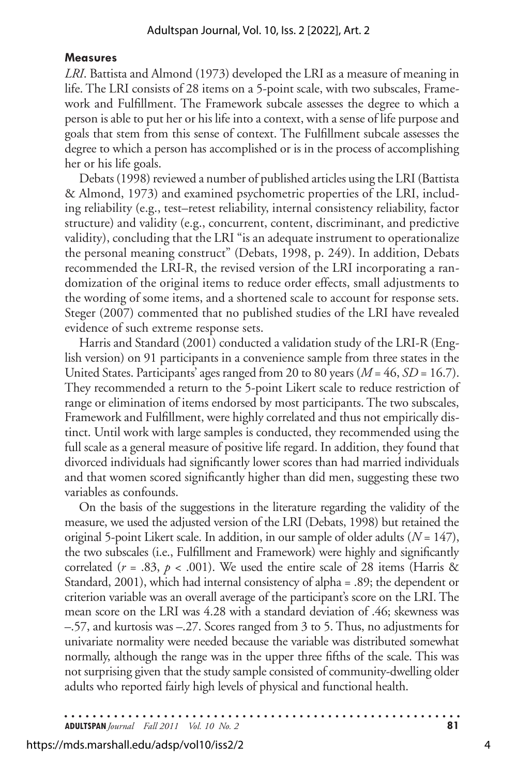#### **Measures**

*LRI*. Battista and Almond (1973) developed the LRI as a measure of meaning in life. The LRI consists of 28 items on a 5-point scale, with two subscales, Framework and Fulfillment. The Framework subcale assesses the degree to which a person is able to put her or his life into a context, with a sense of life purpose and goals that stem from this sense of context. The Fulfillment subcale assesses the degree to which a person has accomplished or is in the process of accomplishing her or his life goals.

Debats (1998) reviewed a number of published articles using the LRI (Battista & Almond, 1973) and examined psychometric properties of the LRI, including reliability (e.g., test–retest reliability, internal consistency reliability, factor structure) and validity (e.g., concurrent, content, discriminant, and predictive validity), concluding that the LRI "is an adequate instrument to operationalize the personal meaning construct" (Debats, 1998, p. 249). In addition, Debats recommended the LRI-R, the revised version of the LRI incorporating a randomization of the original items to reduce order effects, small adjustments to the wording of some items, and a shortened scale to account for response sets. Steger (2007) commented that no published studies of the LRI have revealed evidence of such extreme response sets.

Harris and Standard (2001) conducted a validation study of the LRI-R (English version) on 91 participants in a convenience sample from three states in the United States. Participants' ages ranged from 20 to 80 years (*M* = 46, *SD* = 16.7). They recommended a return to the 5-point Likert scale to reduce restriction of range or elimination of items endorsed by most participants. The two subscales, Framework and Fulfillment, were highly correlated and thus not empirically distinct. Until work with large samples is conducted, they recommended using the full scale as a general measure of positive life regard. In addition, they found that divorced individuals had significantly lower scores than had married individuals and that women scored significantly higher than did men, suggesting these two variables as confounds.

On the basis of the suggestions in the literature regarding the validity of the measure, we used the adjusted version of the LRI (Debats, 1998) but retained the original 5-point Likert scale. In addition, in our sample of older adults (*N* = 147), the two subscales (i.e., Fulfillment and Framework) were highly and significantly correlated ( $r = .83$ ,  $p < .001$ ). We used the entire scale of 28 items (Harris & Standard, 2001), which had internal consistency of alpha = .89; the dependent or criterion variable was an overall average of the participant's score on the LRI. The mean score on the LRI was 4.28 with a standard deviation of .46; skewness was –.57, and kurtosis was –.27. Scores ranged from 3 to 5. Thus, no adjustments for univariate normality were needed because the variable was distributed somewhat normally, although the range was in the upper three fifths of the scale. This was not surprising given that the study sample consisted of community-dwelling older adults who reported fairly high levels of physical and functional health.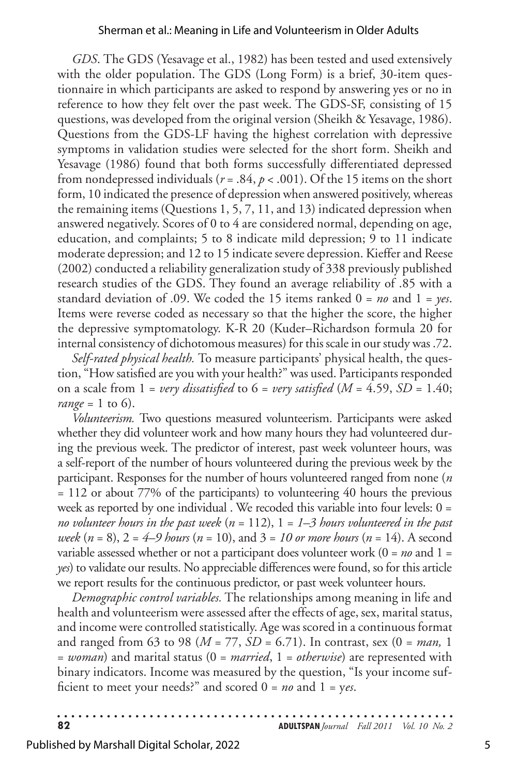#### Sherman et al.: Meaning in Life and Volunteerism in Older Adults

*GDS*. The GDS (Yesavage et al., 1982) has been tested and used extensively with the older population. The GDS (Long Form) is a brief, 30-item questionnaire in which participants are asked to respond by answering yes or no in reference to how they felt over the past week. The GDS-SF, consisting of 15 questions, was developed from the original version (Sheikh & Yesavage, 1986). Questions from the GDS-LF having the highest correlation with depressive symptoms in validation studies were selected for the short form. Sheikh and Yesavage (1986) found that both forms successfully differentiated depressed from nondepressed individuals ( $r = .84$ ,  $p < .001$ ). Of the 15 items on the short form, 10 indicated the presence of depression when answered positively, whereas the remaining items (Questions 1, 5, 7, 11, and 13) indicated depression when answered negatively. Scores of 0 to 4 are considered normal, depending on age, education, and complaints; 5 to 8 indicate mild depression; 9 to 11 indicate moderate depression; and 12 to 15 indicate severe depression. Kieffer and Reese (2002) conducted a reliability generalization study of 338 previously published research studies of the GDS. They found an average reliability of .85 with a standard deviation of .09. We coded the 15 items ranked 0 = *no* and 1 = *yes*. Items were reverse coded as necessary so that the higher the score, the higher the depressive symptomatology. K-R 20 (Kuder–Richardson formula 20 for internal consistency of dichotomous measures) for this scale in our study was .72.

*Self-rated physical health.* To measure participants' physical health, the question, "How satisfied are you with your health?" was used. Participants responded on a scale from  $1 = \text{very dissatisfied}$  to  $6 = \text{very satisfied}$   $(M = 4.59, SD = 1.40;$ *range* = 1 to 6).

*Volunteerism.* Two questions measured volunteerism. Participants were asked whether they did volunteer work and how many hours they had volunteered during the previous week. The predictor of interest, past week volunteer hours, was a self-report of the number of hours volunteered during the previous week by the participant. Responses for the number of hours volunteered ranged from none (*n*  = 112 or about 77% of the participants) to volunteering 40 hours the previous week as reported by one individual . We recoded this variable into four levels: 0 = *no volunteer hours in the past week* (*n* = 112), 1 = *1–3 hours volunteered in the past week*  $(n = 8)$ ,  $2 = 4-9$  *hours*  $(n = 10)$ , and  $3 = 10$  *or more hours*  $(n = 14)$ . A second variable assessed whether or not a participant does volunteer work (0 = *no* and 1 = *yes*) to validate our results. No appreciable differences were found, so for this article we report results for the continuous predictor, or past week volunteer hours.

*Demographic control variables.* The relationships among meaning in life and health and volunteerism were assessed after the effects of age, sex, marital status, and income were controlled statistically. Age was scored in a continuous format and ranged from 63 to 98 ( $M = 77$ ,  $SD = 6.71$ ). In contrast, sex (0 = *man*, 1 = *woman*) and marital status (0 = *married*, 1 = *otherwise*) are represented with binary indicators. Income was measured by the question, "Is your income sufficient to meet your needs?" and scored 0 = *no* and 1 = y*es*.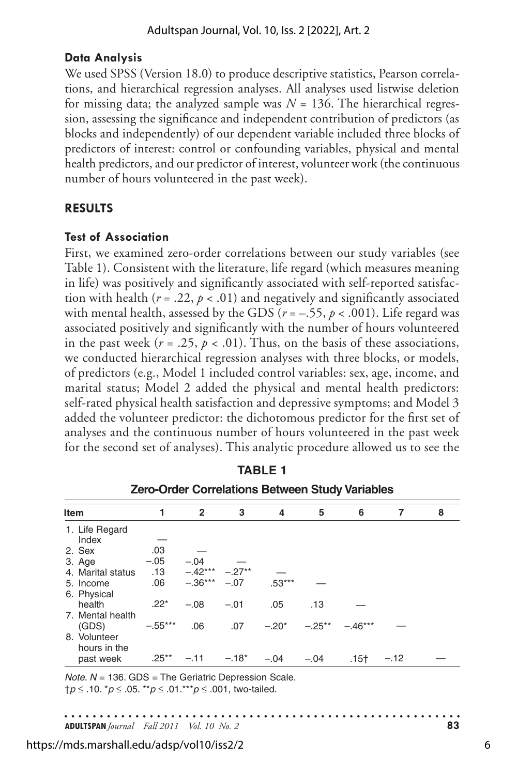# **Data Analysis**

We used SPSS (Version 18.0) to produce descriptive statistics, Pearson correlations, and hierarchical regression analyses. All analyses used listwise deletion for missing data; the analyzed sample was  $N = 136$ . The hierarchical regression, assessing the significance and independent contribution of predictors (as blocks and independently) of our dependent variable included three blocks of predictors of interest: control or confounding variables, physical and mental health predictors, and our predictor of interest, volunteer work (the continuous number of hours volunteered in the past week).

# **Results**

# **Test of Association**

First, we examined zero-order correlations between our study variables (see Table 1). Consistent with the literature, life regard (which measures meaning in life) was positively and significantly associated with self-reported satisfaction with health  $(r = .22, p < .01)$  and negatively and significantly associated with mental health, assessed by the GDS ( $r = -.55$ ,  $p < .001$ ). Life regard was associated positively and significantly with the number of hours volunteered in the past week  $(r = .25, p < .01)$ . Thus, on the basis of these associations, we conducted hierarchical regression analyses with three blocks, or models, of predictors (e.g., Model 1 included control variables: sex, age, income, and marital status; Model 2 added the physical and mental health predictors: self-rated physical health satisfaction and depressive symptoms; and Model 3 added the volunteer predictor: the dichotomous predictor for the first set of analyses and the continuous number of hours volunteered in the past week for the second set of analyses). This analytic procedure allowed us to see the

| <b>Item</b>                  |               | $\overline{2}$ | 3        | 4        | 5         | 6         | 7      | 8 |
|------------------------------|---------------|----------------|----------|----------|-----------|-----------|--------|---|
| 1. Life Regard<br>Index      |               |                |          |          |           |           |        |   |
| 2. Sex<br>3. Age             | .03<br>$-.05$ | $-.04$         |          |          |           |           |        |   |
| 4. Marital status            | .13           | $-.42***$      | $-.27**$ |          |           |           |        |   |
| 5. Income<br>6. Physical     | .06           | $-.36***$      | $-.07$   | $.53***$ |           |           |        |   |
| health                       | $.22*$        | $-.08$         | $-.01$   | .05      | .13       |           |        |   |
| 7. Mental health<br>(GDS)    | $-.55***$     | .06            | .07      | $-.20*$  | $-.25***$ | $-.46***$ |        |   |
| 8. Volunteer<br>hours in the |               |                |          |          |           |           |        |   |
| past week                    | $.25***$      | $-.11$         | $-.18*$  | $-.04$   | $-.04$    | .15†      | $-.12$ |   |

. . . . . . . . . .

# **Zero-Order Correlations Between Study Variables**

*Note. N* = 136. GDS = The Geriatric Depression Scale. †*p* ≤ .10. \**p* ≤ .05. \*\**p* ≤ .01.\*\*\**p* ≤ .001, two-tailed.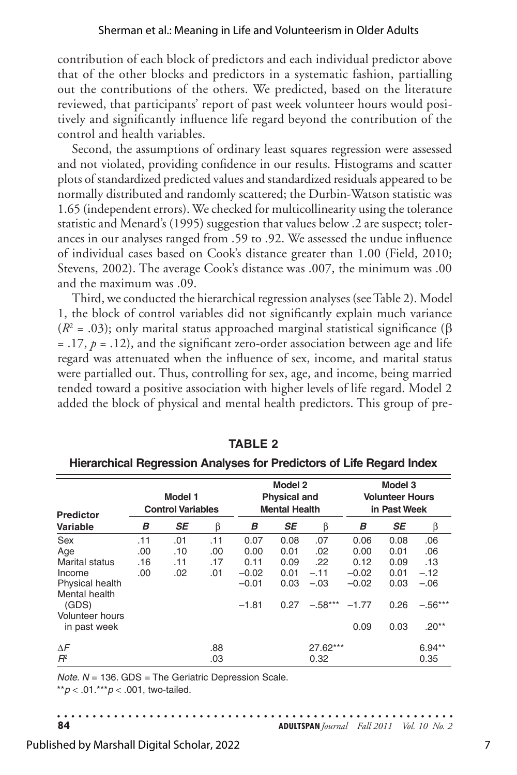contribution of each block of predictors and each individual predictor above that of the other blocks and predictors in a systematic fashion, partialling out the contributions of the others. We predicted, based on the literature reviewed, that participants' report of past week volunteer hours would positively and significantly influence life regard beyond the contribution of the control and health variables.

Second, the assumptions of ordinary least squares regression were assessed and not violated, providing confidence in our results. Histograms and scatter plots of standardized predicted values and standardized residuals appeared to be normally distributed and randomly scattered; the Durbin-Watson statistic was 1.65 (independent errors). We checked for multicollinearity using the tolerance statistic and Menard's (1995) suggestion that values below .2 are suspect; tolerances in our analyses ranged from .59 to .92. We assessed the undue influence of individual cases based on Cook's distance greater than 1.00 (Field, 2010; Stevens, 2002). The average Cook's distance was .007, the minimum was .00 and the maximum was .09.

Third, we conducted the hierarchical regression analyses (see Table 2). Model 1, the block of control variables did not significantly explain much variance  $(R<sup>2</sup> = .03)$ ; only marital status approached marginal statistical significance ( $\beta$  $= .17, p = .12$ ), and the significant zero-order association between age and life regard was attenuated when the influence of sex, income, and marital status were partialled out. Thus, controlling for sex, age, and income, being married tended toward a positive association with higher levels of life regard. Model 2 added the block of physical and mental health predictors. This group of pre-

| <b>Predictor</b><br><b>Variable</b>                                                                                                         | Model 1<br><b>Control Variables</b> |                          |                          |                                                       | Model 2<br><b>Physical and</b><br><b>Mental Health</b> |                                                    |                                                               | Model 3<br><b>Volunteer Hours</b><br>in Past Week    |                                                               |  |
|---------------------------------------------------------------------------------------------------------------------------------------------|-------------------------------------|--------------------------|--------------------------|-------------------------------------------------------|--------------------------------------------------------|----------------------------------------------------|---------------------------------------------------------------|------------------------------------------------------|---------------------------------------------------------------|--|
|                                                                                                                                             | в                                   | SE                       | β                        | В                                                     | <b>SE</b>                                              | β                                                  | в                                                             | <b>SE</b>                                            | β                                                             |  |
| Sex<br>Age<br><b>Marital status</b><br>Income<br><b>Physical health</b><br>Mental health<br>(GDS)<br><b>Volunteer hours</b><br>in past week | .11<br>.00<br>.16<br>.00            | .01<br>.10<br>.11<br>.02 | .11<br>.00<br>.17<br>.01 | 0.07<br>0.00<br>0.11<br>$-0.02$<br>$-0.01$<br>$-1.81$ | 0.08<br>0.01<br>0.09<br>0.01<br>0.03<br>0.27           | .07<br>.02<br>.22<br>$-.11$<br>$-.03$<br>$-.58***$ | 0.06<br>0.00<br>0.12<br>$-0.02$<br>$-0.02$<br>$-1.77$<br>0.09 | 0.08<br>0.01<br>0.09<br>0.01<br>0.03<br>0.26<br>0.03 | .06<br>.06<br>.13<br>$-.12$<br>$-.06$<br>$-.56***$<br>$.20**$ |  |
| $\Delta F$<br>$R^2$                                                                                                                         |                                     |                          | .88<br>.03               |                                                       |                                                        | 27.62***<br>0.32                                   |                                                               |                                                      | $6.94***$<br>0.35                                             |  |

**Table 2**

**Hierarchical Regression Analyses for Predictors of Life Regard Index**

*Note. N* = 136. GDS = The Geriatric Depression Scale.

\*\**p* < .01.\*\*\**p* < .001, two-tailed.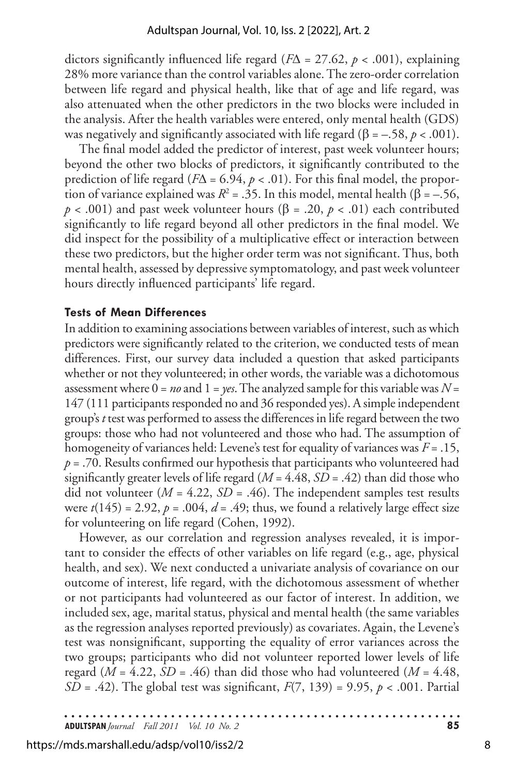dictors significantly influenced life regard (*F*∆ = 27.62, *p* < .001), explaining 28% more variance than the control variables alone. The zero-order correlation between life regard and physical health, like that of age and life regard, was also attenuated when the other predictors in the two blocks were included in the analysis. After the health variables were entered, only mental health (GDS) was negatively and significantly associated with life regard ( $\beta = -.58$ ,  $p < .001$ ).

The final model added the predictor of interest, past week volunteer hours; beyond the other two blocks of predictors, it significantly contributed to the prediction of life regard ( $F\Delta = 6.94$ ,  $p < .01$ ). For this final model, the proportion of variance explained was  $R^2 = .35$ . In this model, mental health (β = -.56,  $p < .001$ ) and past week volunteer hours ( $\beta = .20$ ,  $p < .01$ ) each contributed significantly to life regard beyond all other predictors in the final model. We did inspect for the possibility of a multiplicative effect or interaction between these two predictors, but the higher order term was not significant. Thus, both mental health, assessed by depressive symptomatology, and past week volunteer hours directly influenced participants' life regard.

### **Tests of Mean Differences**

In addition to examining associations between variables of interest, such as which predictors were significantly related to the criterion, we conducted tests of mean differences. First, our survey data included a question that asked participants whether or not they volunteered; in other words, the variable was a dichotomous assessment where  $0 = no$  and  $1 = yes$ . The analyzed sample for this variable was  $N =$ 147 (111 participants responded no and 36 responded yes). A simple independent group's *t* test was performed to assess the differences in life regard between the two groups: those who had not volunteered and those who had. The assumption of homogeneity of variances held: Levene's test for equality of variances was *F* = .15,  $p = .70$ . Results confirmed our hypothesis that participants who volunteered had significantly greater levels of life regard  $(M = 4.48, SD = .42)$  than did those who did not volunteer  $(M = 4.22, SD = .46)$ . The independent samples test results were  $t(145) = 2.92$ ,  $p = .004$ ,  $d = .49$ ; thus, we found a relatively large effect size for volunteering on life regard (Cohen, 1992).

However, as our correlation and regression analyses revealed, it is important to consider the effects of other variables on life regard (e.g., age, physical health, and sex). We next conducted a univariate analysis of covariance on our outcome of interest, life regard, with the dichotomous assessment of whether or not participants had volunteered as our factor of interest. In addition, we included sex, age, marital status, physical and mental health (the same variables as the regression analyses reported previously) as covariates. Again, the Levene's test was nonsignificant, supporting the equality of error variances across the two groups; participants who did not volunteer reported lower levels of life regard ( $M = 4.22$ ,  $SD = .46$ ) than did those who had volunteered ( $M = 4.48$ , *SD* = .42). The global test was significant, *F*(7, 139) = 9.95, *p* < .001. Partial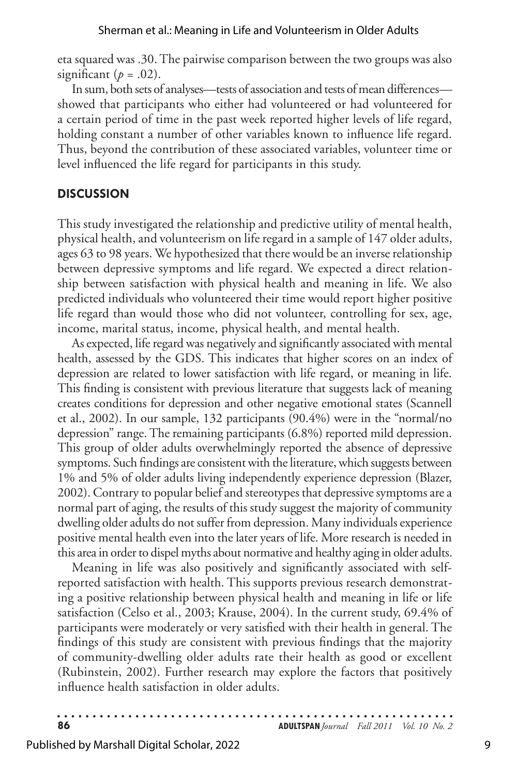eta squared was .30. The pairwise comparison between the two groups was also significant  $(p = .02)$ .

In sum, both sets of analyses—tests of association and tests of mean differences showed that participants who either had volunteered or had volunteered for a certain period of time in the past week reported higher levels of life regard, holding constant a number of other variables known to influence life regard. Thus, beyond the contribution of these associated variables, volunteer time or level influenced the life regard for participants in this study.

# **Discussion**

This study investigated the relationship and predictive utility of mental health, physical health, and volunteerism on life regard in a sample of 147 older adults, ages 63 to 98 years. We hypothesized that there would be an inverse relationship between depressive symptoms and life regard. We expected a direct relationship between satisfaction with physical health and meaning in life. We also predicted individuals who volunteered their time would report higher positive life regard than would those who did not volunteer, controlling for sex, age, income, marital status, income, physical health, and mental health.

As expected, life regard was negatively and significantly associated with mental health, assessed by the GDS. This indicates that higher scores on an index of depression are related to lower satisfaction with life regard, or meaning in life. This finding is consistent with previous literature that suggests lack of meaning creates conditions for depression and other negative emotional states (Scannell et al., 2002). In our sample, 132 participants (90.4%) were in the "normal/no depression" range. The remaining participants (6.8%) reported mild depression. This group of older adults overwhelmingly reported the absence of depressive symptoms. Such findings are consistent with the literature, which suggests between 1% and 5% of older adults living independently experience depression (Blazer, 2002). Contrary to popular belief and stereotypes that depressive symptoms are a normal part of aging, the results of this study suggest the majority of community dwelling older adults do not suffer from depression. Many individuals experience positive mental health even into the later years of life. More research is needed in this area in order to dispel myths about normative and healthy aging in older adults.

Meaning in life was also positively and significantly associated with selfreported satisfaction with health. This supports previous research demonstrating a positive relationship between physical health and meaning in life or life satisfaction (Celso et al., 2003; Krause, 2004). In the current study, 69.4% of participants were moderately or very satisfied with their health in general. The findings of this study are consistent with previous findings that the majority of community-dwelling older adults rate their health as good or excellent (Rubinstein, 2002). Further research may explore the factors that positively influence health satisfaction in older adults.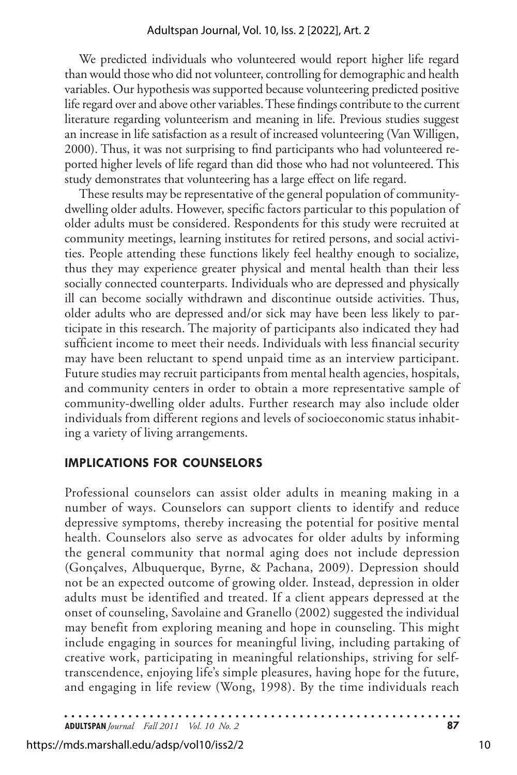We predicted individuals who volunteered would report higher life regard than would those who did not volunteer, controlling for demographic and health variables. Our hypothesis was supported because volunteering predicted positive life regard over and above other variables. These findings contribute to the current literature regarding volunteerism and meaning in life. Previous studies suggest an increase in life satisfaction as a result of increased volunteering (Van Willigen, 2000). Thus, it was not surprising to find participants who had volunteered reported higher levels of life regard than did those who had not volunteered. This study demonstrates that volunteering has a large effect on life regard.

These results may be representative of the general population of communitydwelling older adults. However, specific factors particular to this population of older adults must be considered. Respondents for this study were recruited at community meetings, learning institutes for retired persons, and social activities. People attending these functions likely feel healthy enough to socialize, thus they may experience greater physical and mental health than their less socially connected counterparts. Individuals who are depressed and physically ill can become socially withdrawn and discontinue outside activities. Thus, older adults who are depressed and/or sick may have been less likely to participate in this research. The majority of participants also indicated they had sufficient income to meet their needs. Individuals with less financial security may have been reluctant to spend unpaid time as an interview participant. Future studies may recruit participants from mental health agencies, hospitals, and community centers in order to obtain a more representative sample of community-dwelling older adults. Further research may also include older individuals from different regions and levels of socioeconomic status inhabiting a variety of living arrangements.

# **Implications for Counselors**

Professional counselors can assist older adults in meaning making in a number of ways. Counselors can support clients to identify and reduce depressive symptoms, thereby increasing the potential for positive mental health. Counselors also serve as advocates for older adults by informing the general community that normal aging does not include depression (Gonçalves, Albuquerque, Byrne, & Pachana, 2009). Depression should not be an expected outcome of growing older. Instead, depression in older adults must be identified and treated. If a client appears depressed at the onset of counseling, Savolaine and Granello (2002) suggested the individual may benefit from exploring meaning and hope in counseling. This might include engaging in sources for meaningful living, including partaking of creative work, participating in meaningful relationships, striving for selftranscendence, enjoying life's simple pleasures, having hope for the future, and engaging in life review (Wong, 1998). By the time individuals reach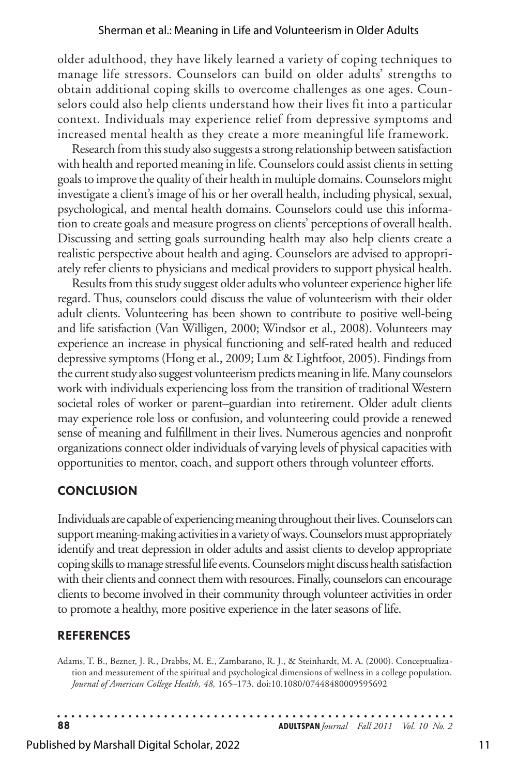older adulthood, they have likely learned a variety of coping techniques to manage life stressors. Counselors can build on older adults' strengths to obtain additional coping skills to overcome challenges as one ages. Counselors could also help clients understand how their lives fit into a particular context. Individuals may experience relief from depressive symptoms and increased mental health as they create a more meaningful life framework.

Research from this study also suggests a strong relationship between satisfaction with health and reported meaning in life. Counselors could assist clients in setting goals to improve the quality of their health in multiple domains. Counselors might investigate a client's image of his or her overall health, including physical, sexual, psychological, and mental health domains. Counselors could use this information to create goals and measure progress on clients' perceptions of overall health. Discussing and setting goals surrounding health may also help clients create a realistic perspective about health and aging. Counselors are advised to appropriately refer clients to physicians and medical providers to support physical health.

Results from this study suggest older adults who volunteer experience higher life regard. Thus, counselors could discuss the value of volunteerism with their older adult clients. Volunteering has been shown to contribute to positive well-being and life satisfaction (Van Willigen, 2000; Windsor et al., 2008). Volunteers may experience an increase in physical functioning and self-rated health and reduced depressive symptoms (Hong et al., 2009; Lum & Lightfoot, 2005). Findings from the current study also suggest volunteerism predicts meaning in life. Many counselors work with individuals experiencing loss from the transition of traditional Western societal roles of worker or parent–guardian into retirement. Older adult clients may experience role loss or confusion, and volunteering could provide a renewed sense of meaning and fulfillment in their lives. Numerous agencies and nonprofit organizations connect older individuals of varying levels of physical capacities with opportunities to mentor, coach, and support others through volunteer efforts.

### **Conclusion**

Individuals are capable of experiencing meaning throughout their lives. Counselors can support meaning-making activities in a variety of ways. Counselors must appropriately identify and treat depression in older adults and assist clients to develop appropriate coping skills to manage stressful life events. Counselors might discuss health satisfaction with their clients and connect them with resources. Finally, counselors can encourage clients to become involved in their community through volunteer activities in order to promote a healthy, more positive experience in the later seasons of life.

### **References**

Adams, T. B., Bezner, J. R., Drabbs, M. E., Zambarano, R. J., & Steinhardt, M. A. (2000). Conceptualization and measurement of the spiritual and psychological dimensions of wellness in a college population. *Journal of American College Health, 48,* 165–173. doi:10.1080/07448480009595692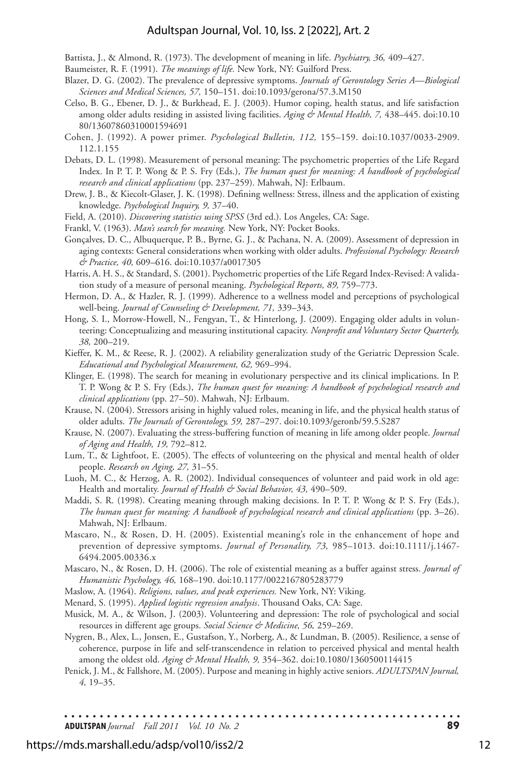#### Adultspan Journal, Vol. 10, Iss. 2 [2022], Art. 2

Battista, J., & Almond, R. (1973). The development of meaning in life. *Psychiatry, 36,* 409–427.

Baumeister, R. F. (1991). *The meanings of life.* New York, NY: Guilford Press.

- Blazer, D. G. (2002). The prevalence of depressive symptoms. *Journals of Gerontology Series A—Biological Sciences and Medical Sciences, 57,* 150–151. doi:10.1093/gerona/57.3.M150
- Celso, B. G., Ebener, D. J., & Burkhead, E. J. (2003). Humor coping, health status, and life satisfaction among older adults residing in assisted living facilities. *Aging & Mental Health, 7,* 438–445. doi:10.10 80/13607860310001594691
- Cohen, J. (1992). A power primer. *Psychological Bulletin, 112,* 155–159. doi:10.1037/0033-2909. 112.1.155
- Debats, D. L. (1998). Measurement of personal meaning: The psychometric properties of the Life Regard Index. In P. T. P. Wong & P. S. Fry (Eds.), *The human quest for meaning: A handbook of psychological research and clinical applications* (pp. 237–259). Mahwah, NJ: Erlbaum.
- Drew, J. B., & Kiecolt-Glaser, J. K. (1998). Defining wellness: Stress, illness and the application of existing knowledge. *Psychological Inquiry, 9,* 37–40.
- Field, A. (2010). *Discovering statistics using SPSS* (3rd ed.). Los Angeles, CA: Sage.
- Frankl, V. (1963). *Man's search for meaning.* New York, NY: Pocket Books.
- Gonçalves, D. C., Albuquerque, P. B., Byrne, G. J., & Pachana, N. A. (2009). Assessment of depression in aging contexts: General considerations when working with older adults. *Professional Psychology: Research & Practice, 40,* 609–616. doi:10.1037/a0017305
- Harris, A. H. S., & Standard, S. (2001). Psychometric properties of the Life Regard Index-Revised: A validation study of a measure of personal meaning. *Psychological Reports, 89,* 759–773.
- Hermon, D. A., & Hazler, R. J. (1999). Adherence to a wellness model and perceptions of psychological well-being. *Journal of Counseling & Development, 71,* 339–343.
- Hong, S. I., Morrow-Howell, N., Fengyan, T., & Hinterlong, J. (2009). Engaging older adults in volunteering: Conceptualizing and measuring institutional capacity. *Nonprofit and Voluntary Sector Quarterly, 38,* 200–219.
- Kieffer, K. M., & Reese, R. J. (2002). A reliability generalization study of the Geriatric Depression Scale. *Educational and Psychological Measurement, 62,* 969–994.
- Klinger, E. (1998). The search for meaning in evolutionary perspective and its clinical implications. In P. T. P. Wong & P. S. Fry (Eds.), *The human quest for meaning: A handbook of psychological research and clinical applications* (pp. 27–50). Mahwah, NJ: Erlbaum.
- Krause, N. (2004). Stressors arising in highly valued roles, meaning in life, and the physical health status of older adults. *The Journals of Gerontology, 59,* 287–297. doi:10.1093/geronb/59.5.S287
- Krause, N. (2007). Evaluating the stress-buffering function of meaning in life among older people. *Journal of Aging and Health, 19,* 792–812.
- Lum, T., & Lightfoot, E. (2005). The effects of volunteering on the physical and mental health of older people. *Research on Aging, 27,* 31–55.
- Luoh, M. C., & Herzog, A. R. (2002). Individual consequences of volunteer and paid work in old age: Health and mortality. *Journal of Health & Social Behavior, 43,* 490–509.
- Maddi, S. R. (1998). Creating meaning through making decisions. In P. T. P. Wong & P. S. Fry (Eds.), *The human quest for meaning: A handbook of psychological research and clinical applications* (pp. 3–26). Mahwah, NJ: Erlbaum.
- Mascaro, N., & Rosen, D. H. (2005). Existential meaning's role in the enhancement of hope and prevention of depressive symptoms. *Journal of Personality, 73,* 985–1013. doi:10.1111/j.1467- 6494.2005.00336.x
- Mascaro, N., & Rosen, D. H. (2006). The role of existential meaning as a buffer against stress. *Journal of Humanistic Psychology, 46,* 168–190. doi:10.1177/0022167805283779
- Maslow, A. (1964). *Religions, values, and peak experiences.* New York, NY: Viking.
- Menard, S. (1995). *Applied logistic regression analysis*. Thousand Oaks, CA: Sage.
- Musick, M. A., & Wilson, J. (2003). Volunteering and depression: The role of psychological and social resources in different age groups. *Social Science & Medicine, 56,* 259–269.
- Nygren, B., Alex, L., Jonsen, E., Gustafson, Y., Norberg, A., & Lundman, B. (2005). Resilience, a sense of coherence, purpose in life and self-transcendence in relation to perceived physical and mental health among the oldest old. *Aging & Mental Health, 9,* 354–362. doi:10.1080/1360500114415
- Penick, J. M., & Fallshore, M. (2005). Purpose and meaning in highly active seniors. *ADULTSPAN Journal, 4,* 19–35.

**ADULTSPAN***Journal Fall 2011 Vol. 10 No. 2* **89**

#### https://mds.marshall.edu/adsp/vol10/iss2/2